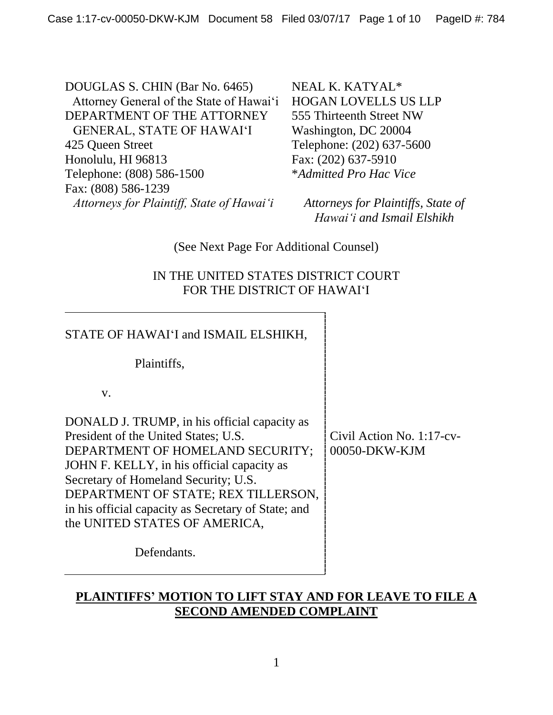DOUGLAS S. CHIN (Bar No. 6465) Attorney General of the State of Hawai'i DEPARTMENT OF THE ATTORNEY GENERAL, STATE OF HAWAI'I 425 Queen Street Honolulu, HI 96813 Telephone: (808) 586-1500 Fax: (808) 586-1239 *Attorneys for Plaintiff, State of Hawai'i*

NEAL K. KATYAL\* HOGAN LOVELLS US LLP 555 Thirteenth Street NW Washington, DC 20004 Telephone: (202) 637-5600 Fax: (202) 637-5910 \**Admitted Pro Hac Vice*

*Attorneys for Plaintiffs, State of Hawai'i and Ismail Elshikh*

(See Next Page For Additional Counsel)

# IN THE UNITED STATES DISTRICT COURT FOR THE DISTRICT OF HAWAI'I

| STATE OF HAWAI'I and ISMAIL ELSHIKH,                                                                                                                                                                                                                                                                                                          |                                            |
|-----------------------------------------------------------------------------------------------------------------------------------------------------------------------------------------------------------------------------------------------------------------------------------------------------------------------------------------------|--------------------------------------------|
| Plaintiffs,                                                                                                                                                                                                                                                                                                                                   |                                            |
| $V_{\bullet}$                                                                                                                                                                                                                                                                                                                                 |                                            |
| DONALD J. TRUMP, in his official capacity as<br>President of the United States; U.S.<br>DEPARTMENT OF HOMELAND SECURITY;<br>JOHN F. KELLY, in his official capacity as<br>Secretary of Homeland Security; U.S.<br>DEPARTMENT OF STATE; REX TILLERSON,<br>in his official capacity as Secretary of State; and<br>the UNITED STATES OF AMERICA, | Civil Action No. 1:17-cv-<br>00050-DKW-KJM |
| Defendants.                                                                                                                                                                                                                                                                                                                                   |                                            |
|                                                                                                                                                                                                                                                                                                                                               |                                            |

# **PLAINTIFFS' MOTION TO LIFT STAY AND FOR LEAVE TO FILE A SECOND AMENDED COMPLAINT**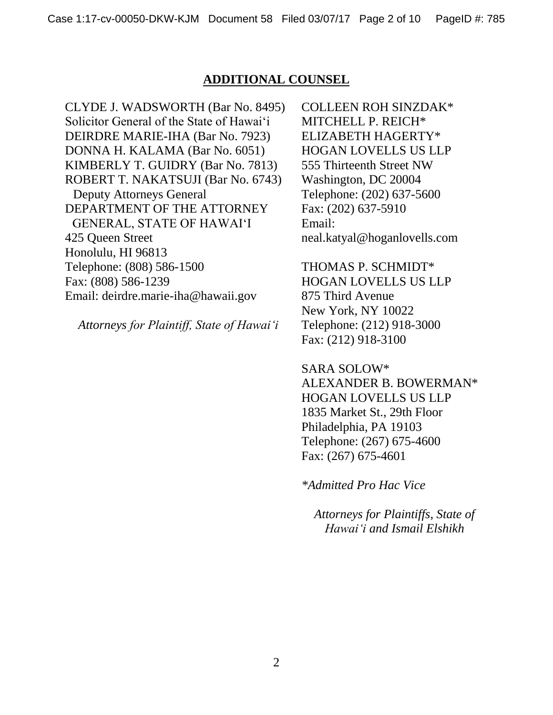### **ADDITIONAL COUNSEL**

CLYDE J. WADSWORTH (Bar No. 8495) Solicitor General of the State of Hawai'i DEIRDRE MARIE-IHA (Bar No. 7923) DONNA H. KALAMA (Bar No. 6051) KIMBERLY T. GUIDRY (Bar No. 7813) ROBERT T. NAKATSUJI (Bar No. 6743) Deputy Attorneys General DEPARTMENT OF THE ATTORNEY GENERAL, STATE OF HAWAI'I 425 Queen Street Honolulu, HI 96813 Telephone: (808) 586-1500 Fax: (808) 586-1239 Email: deirdre.marie-iha@hawaii.gov

*Attorneys for Plaintiff, State of Hawai'i*

COLLEEN ROH SINZDAK\* MITCHELL P. REICH\* ELIZABETH HAGERTY\* HOGAN LOVELLS US LLP 555 Thirteenth Street NW Washington, DC 20004 Telephone: (202) 637-5600 Fax: (202) 637-5910 Email: neal.katyal@hoganlovells.com

THOMAS P. SCHMIDT\* HOGAN LOVELLS US LLP 875 Third Avenue New York, NY 10022 Telephone: (212) 918-3000 Fax: (212) 918-3100

SARA SOLOW\* ALEXANDER B. BOWERMAN\* HOGAN LOVELLS US LLP 1835 Market St., 29th Floor Philadelphia, PA 19103 Telephone: (267) 675-4600 Fax: (267) 675-4601

*\*Admitted Pro Hac Vice*

*Attorneys for Plaintiffs, State of Hawai'i and Ismail Elshikh*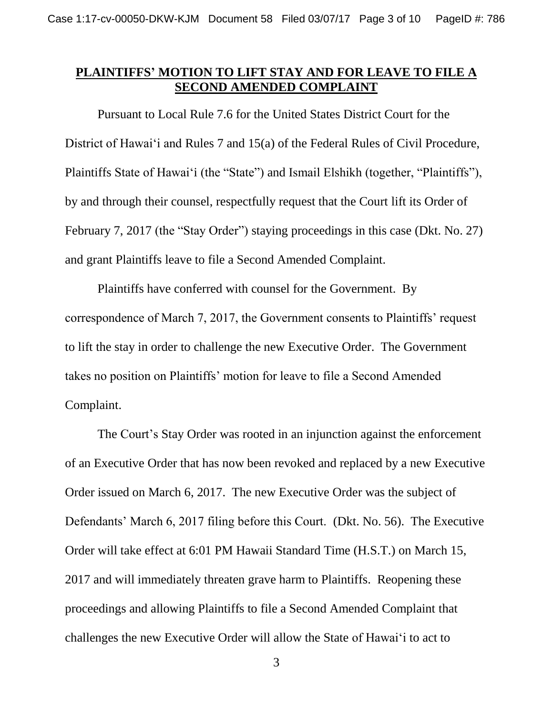### **PLAINTIFFS' MOTION TO LIFT STAY AND FOR LEAVE TO FILE A SECOND AMENDED COMPLAINT**

Pursuant to Local Rule 7.6 for the United States District Court for the District of Hawai'i and Rules 7 and 15(a) of the Federal Rules of Civil Procedure, Plaintiffs State of Hawai'i (the "State") and Ismail Elshikh (together, "Plaintiffs"), by and through their counsel, respectfully request that the Court lift its Order of February 7, 2017 (the "Stay Order") staying proceedings in this case (Dkt. No. 27) and grant Plaintiffs leave to file a Second Amended Complaint.

Plaintiffs have conferred with counsel for the Government. By correspondence of March 7, 2017, the Government consents to Plaintiffs' request to lift the stay in order to challenge the new Executive Order. The Government takes no position on Plaintiffs' motion for leave to file a Second Amended Complaint.

The Court's Stay Order was rooted in an injunction against the enforcement of an Executive Order that has now been revoked and replaced by a new Executive Order issued on March 6, 2017. The new Executive Order was the subject of Defendants' March 6, 2017 filing before this Court. (Dkt. No. 56). The Executive Order will take effect at 6:01 PM Hawaii Standard Time (H.S.T.) on March 15, 2017 and will immediately threaten grave harm to Plaintiffs. Reopening these proceedings and allowing Plaintiffs to file a Second Amended Complaint that challenges the new Executive Order will allow the State of Hawai'i to act to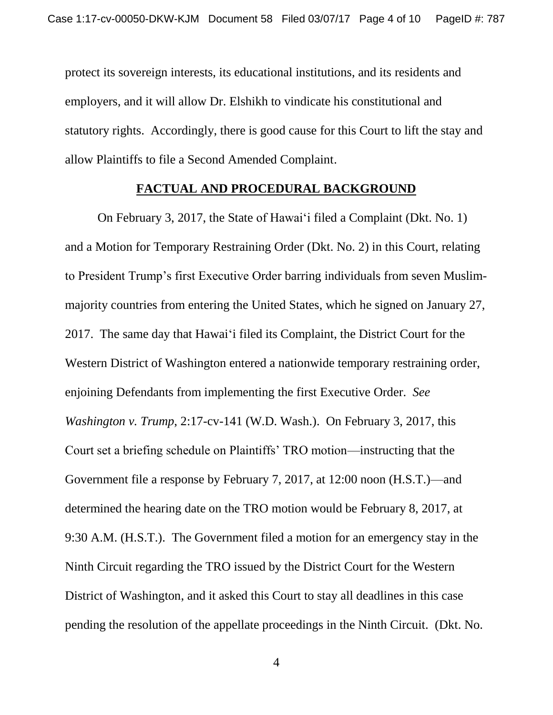protect its sovereign interests, its educational institutions, and its residents and employers, and it will allow Dr. Elshikh to vindicate his constitutional and statutory rights. Accordingly, there is good cause for this Court to lift the stay and allow Plaintiffs to file a Second Amended Complaint.

#### **FACTUAL AND PROCEDURAL BACKGROUND**

On February 3, 2017, the State of Hawai'i filed a Complaint (Dkt. No. 1) and a Motion for Temporary Restraining Order (Dkt. No. 2) in this Court, relating to President Trump's first Executive Order barring individuals from seven Muslimmajority countries from entering the United States, which he signed on January 27, 2017. The same day that Hawai'i filed its Complaint, the District Court for the Western District of Washington entered a nationwide temporary restraining order, enjoining Defendants from implementing the first Executive Order. *See Washington v. Trump*, 2:17-cv-141 (W.D. Wash.). On February 3, 2017, this Court set a briefing schedule on Plaintiffs' TRO motion—instructing that the Government file a response by February 7, 2017, at 12:00 noon (H.S.T.)—and determined the hearing date on the TRO motion would be February 8, 2017, at 9:30 A.M. (H.S.T.). The Government filed a motion for an emergency stay in the Ninth Circuit regarding the TRO issued by the District Court for the Western District of Washington, and it asked this Court to stay all deadlines in this case pending the resolution of the appellate proceedings in the Ninth Circuit. (Dkt. No.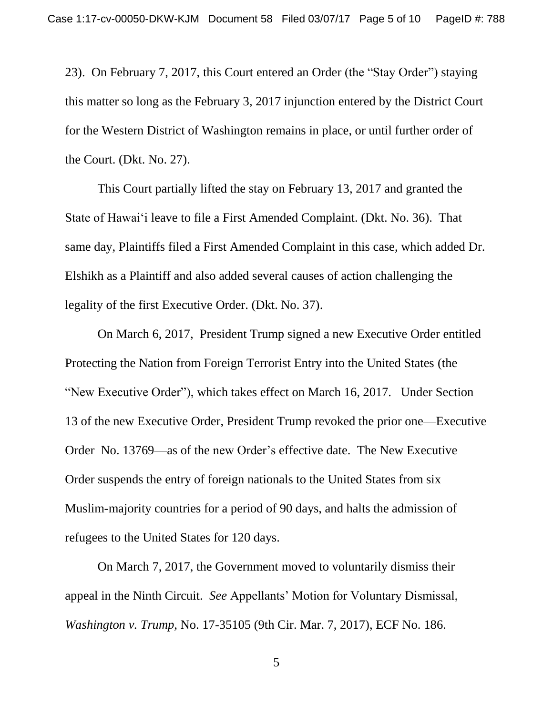23). On February 7, 2017, this Court entered an Order (the "Stay Order") staying this matter so long as the February 3, 2017 injunction entered by the District Court for the Western District of Washington remains in place, or until further order of the Court. (Dkt. No. 27).

This Court partially lifted the stay on February 13, 2017 and granted the State of Hawai'i leave to file a First Amended Complaint. (Dkt. No. 36). That same day, Plaintiffs filed a First Amended Complaint in this case, which added Dr. Elshikh as a Plaintiff and also added several causes of action challenging the legality of the first Executive Order. (Dkt. No. 37).

On March 6, 2017, President Trump signed a new Executive Order entitled Protecting the Nation from Foreign Terrorist Entry into the United States (the "New Executive Order"), which takes effect on March 16, 2017. Under Section 13 of the new Executive Order, President Trump revoked the prior one—Executive Order No. 13769—as of the new Order's effective date. The New Executive Order suspends the entry of foreign nationals to the United States from six Muslim-majority countries for a period of 90 days, and halts the admission of refugees to the United States for 120 days.

On March 7, 2017, the Government moved to voluntarily dismiss their appeal in the Ninth Circuit. *See* Appellants' Motion for Voluntary Dismissal, *Washington v. Trump*, No. 17-35105 (9th Cir. Mar. 7, 2017), ECF No. 186.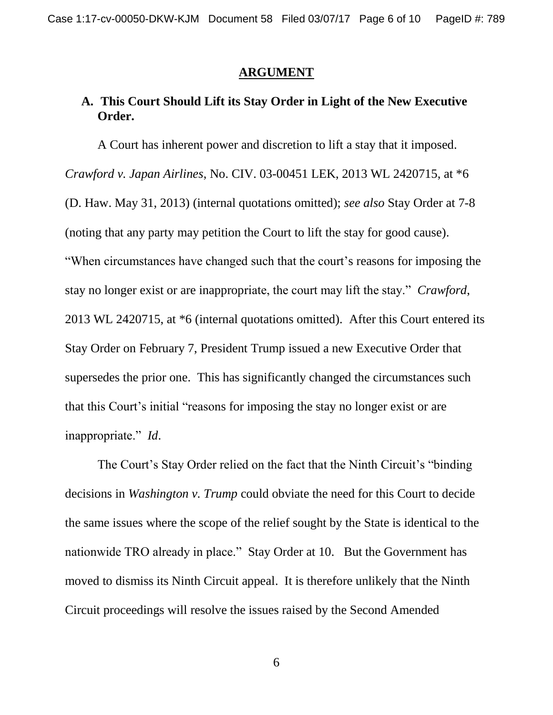#### **ARGUMENT**

# **A. This Court Should Lift its Stay Order in Light of the New Executive Order.**

A Court has inherent power and discretion to lift a stay that it imposed. *Crawford v. Japan Airlines*, No. CIV. 03-00451 LEK, 2013 WL 2420715, at \*6 (D. Haw. May 31, 2013) (internal quotations omitted); *see also* Stay Order at 7-8 (noting that any party may petition the Court to lift the stay for good cause). "When circumstances have changed such that the court's reasons for imposing the stay no longer exist or are inappropriate, the court may lift the stay." *Crawford*, 2013 WL 2420715, at \*6 (internal quotations omitted). After this Court entered its Stay Order on February 7, President Trump issued a new Executive Order that supersedes the prior one. This has significantly changed the circumstances such that this Court's initial "reasons for imposing the stay no longer exist or are inappropriate." *Id*.

The Court's Stay Order relied on the fact that the Ninth Circuit's "binding decisions in *Washington v. Trump* could obviate the need for this Court to decide the same issues where the scope of the relief sought by the State is identical to the nationwide TRO already in place." Stay Order at 10. But the Government has moved to dismiss its Ninth Circuit appeal. It is therefore unlikely that the Ninth Circuit proceedings will resolve the issues raised by the Second Amended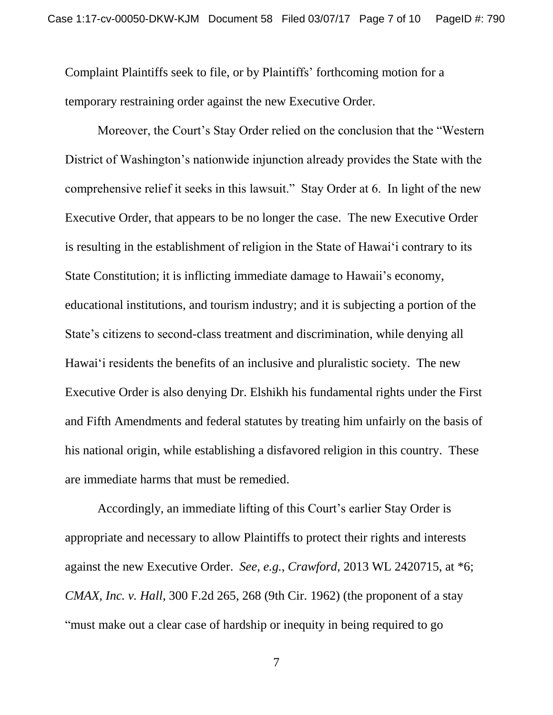Complaint Plaintiffs seek to file, or by Plaintiffs' forthcoming motion for a temporary restraining order against the new Executive Order.

Moreover, the Court's Stay Order relied on the conclusion that the "Western District of Washington's nationwide injunction already provides the State with the comprehensive relief it seeks in this lawsuit." Stay Order at 6. In light of the new Executive Order, that appears to be no longer the case. The new Executive Order is resulting in the establishment of religion in the State of Hawai'i contrary to its State Constitution; it is inflicting immediate damage to Hawaii's economy, educational institutions, and tourism industry; and it is subjecting a portion of the State's citizens to second-class treatment and discrimination, while denying all Hawai'i residents the benefits of an inclusive and pluralistic society. The new Executive Order is also denying Dr. Elshikh his fundamental rights under the First and Fifth Amendments and federal statutes by treating him unfairly on the basis of his national origin, while establishing a disfavored religion in this country. These are immediate harms that must be remedied.

Accordingly, an immediate lifting of this Court's earlier Stay Order is appropriate and necessary to allow Plaintiffs to protect their rights and interests against the new Executive Order. *See, e.g.*, *Crawford*, 2013 WL 2420715, at \*6; *CMAX, Inc. v. Hall*, 300 F.2d 265, 268 (9th Cir. 1962) (the proponent of a stay "must make out a clear case of hardship or inequity in being required to go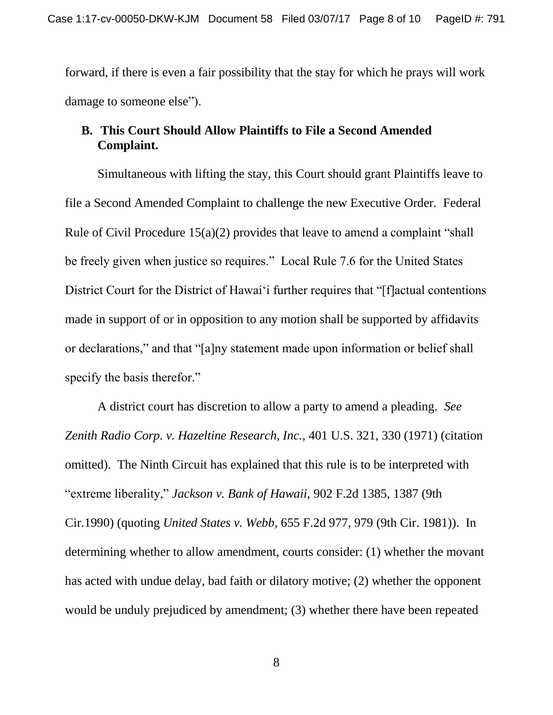forward, if there is even a fair possibility that the stay for which he prays will work damage to someone else").

# **B. This Court Should Allow Plaintiffs to File a Second Amended Complaint.**

Simultaneous with lifting the stay, this Court should grant Plaintiffs leave to file a Second Amended Complaint to challenge the new Executive Order. Federal Rule of Civil Procedure 15(a)(2) provides that leave to amend a complaint "shall be freely given when justice so requires." Local Rule 7.6 for the United States District Court for the District of Hawai'i further requires that "[f]actual contentions made in support of or in opposition to any motion shall be supported by affidavits or declarations," and that "[a]ny statement made upon information or belief shall specify the basis therefor."

A district court has discretion to allow a party to amend a pleading. *See Zenith Radio Corp. v. Hazeltine Research, Inc.,* 401 U.S. 321, 330 (1971) (citation omitted). The Ninth Circuit has explained that this rule is to be interpreted with "extreme liberality," *Jackson v. Bank of Hawaii,* 902 F.2d 1385, 1387 (9th Cir.1990) (quoting *United States v. Webb,* 655 F.2d 977, 979 (9th Cir. 1981)). In determining whether to allow amendment, courts consider: (1) whether the movant has acted with undue delay, bad faith or dilatory motive; (2) whether the opponent would be unduly prejudiced by amendment; (3) whether there have been repeated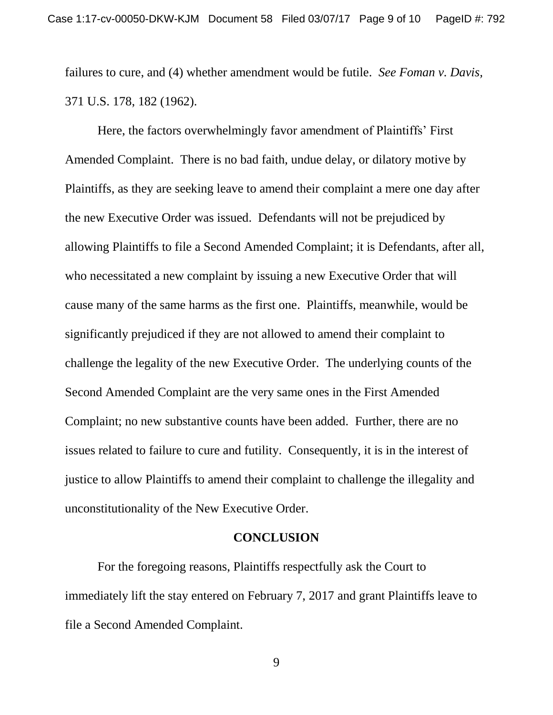failures to cure, and (4) whether amendment would be futile. *See Foman v. Davis,* 371 U.S. 178, 182 (1962).

Here, the factors overwhelmingly favor amendment of Plaintiffs' First Amended Complaint. There is no bad faith, undue delay, or dilatory motive by Plaintiffs, as they are seeking leave to amend their complaint a mere one day after the new Executive Order was issued. Defendants will not be prejudiced by allowing Plaintiffs to file a Second Amended Complaint; it is Defendants, after all, who necessitated a new complaint by issuing a new Executive Order that will cause many of the same harms as the first one. Plaintiffs, meanwhile, would be significantly prejudiced if they are not allowed to amend their complaint to challenge the legality of the new Executive Order. The underlying counts of the Second Amended Complaint are the very same ones in the First Amended Complaint; no new substantive counts have been added. Further, there are no issues related to failure to cure and futility. Consequently, it is in the interest of justice to allow Plaintiffs to amend their complaint to challenge the illegality and unconstitutionality of the New Executive Order.

#### **CONCLUSION**

For the foregoing reasons, Plaintiffs respectfully ask the Court to immediately lift the stay entered on February 7, 2017 and grant Plaintiffs leave to file a Second Amended Complaint.